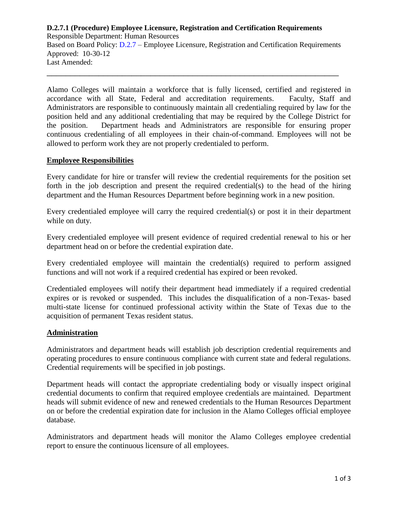# **D.2.7.1 (Procedure) Employee Licensure, Registration and Certification Requirements**

Responsible Department: Human Resources Based on Board Policy: [D.2.7](https://www.alamo.edu/siteassets/district/about-us/leadership/board-of-trustees/policies-pdfs/section-d/d.2.7-policy.pdf) – Employee Licensure, Registration and Certification Requirements Approved: 10-30-12 Last Amended:

\_\_\_\_\_\_\_\_\_\_\_\_\_\_\_\_\_\_\_\_\_\_\_\_\_\_\_\_\_\_\_\_\_\_\_\_\_\_\_\_\_\_\_\_\_\_\_\_\_\_\_\_\_\_\_\_\_\_\_\_\_\_

Alamo Colleges will maintain a workforce that is fully licensed, certified and registered in accordance with all State, Federal and accreditation requirements. Faculty, Staff and Administrators are responsible to continuously maintain all credentialing required by law for the position held and any additional credentialing that may be required by the College District for the position. Department heads and Administrators are responsible for ensuring proper continuous credentialing of all employees in their chain-of-command. Employees will not be allowed to perform work they are not properly credentialed to perform.

#### **Employee Responsibilities**

Every candidate for hire or transfer will review the credential requirements for the position set forth in the job description and present the required credential(s) to the head of the hiring department and the Human Resources Department before beginning work in a new position.

Every credentialed employee will carry the required credential(s) or post it in their department while on duty.

Every credentialed employee will present evidence of required credential renewal to his or her department head on or before the credential expiration date.

Every credentialed employee will maintain the credential(s) required to perform assigned functions and will not work if a required credential has expired or been revoked.

Credentialed employees will notify their department head immediately if a required credential expires or is revoked or suspended. This includes the disqualification of a non-Texas- based multi-state license for continued professional activity within the State of Texas due to the acquisition of permanent Texas resident status.

#### **Administration**

Administrators and department heads will establish job description credential requirements and operating procedures to ensure continuous compliance with current state and federal regulations. Credential requirements will be specified in job postings.

Department heads will contact the appropriate credentialing body or visually inspect original credential documents to confirm that required employee credentials are maintained. Department heads will submit evidence of new and renewed credentials to the Human Resources Department on or before the credential expiration date for inclusion in the Alamo Colleges official employee database.

Administrators and department heads will monitor the Alamo Colleges employee credential report to ensure the continuous licensure of all employees.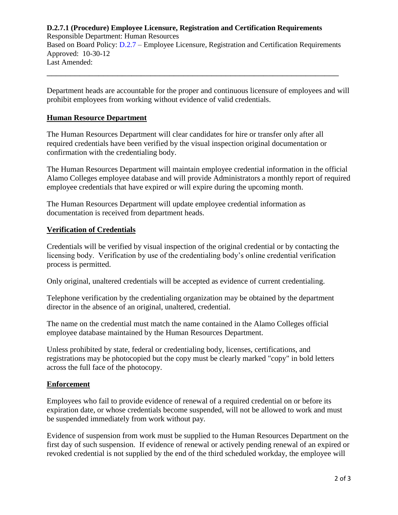# **D.2.7.1 (Procedure) Employee Licensure, Registration and Certification Requirements**

Responsible Department: Human Resources Based on Board Policy: [D.2.7](https://www.alamo.edu/siteassets/district/about-us/leadership/board-of-trustees/policies-pdfs/section-d/d.2.7-policy.pdf) – Employee Licensure, Registration and Certification Requirements Approved: 10-30-12 Last Amended:

\_\_\_\_\_\_\_\_\_\_\_\_\_\_\_\_\_\_\_\_\_\_\_\_\_\_\_\_\_\_\_\_\_\_\_\_\_\_\_\_\_\_\_\_\_\_\_\_\_\_\_\_\_\_\_\_\_\_\_\_\_\_

Department heads are accountable for the proper and continuous licensure of employees and will prohibit employees from working without evidence of valid credentials.

### **Human Resource Department**

The Human Resources Department will clear candidates for hire or transfer only after all required credentials have been verified by the visual inspection original documentation or confirmation with the credentialing body.

The Human Resources Department will maintain employee credential information in the official Alamo Colleges employee database and will provide Administrators a monthly report of required employee credentials that have expired or will expire during the upcoming month.

The Human Resources Department will update employee credential information as documentation is received from department heads.

# **Verification of Credentials**

Credentials will be verified by visual inspection of the original credential or by contacting the licensing body. Verification by use of the credentialing body's online credential verification process is permitted.

Only original, unaltered credentials will be accepted as evidence of current credentialing.

Telephone verification by the credentialing organization may be obtained by the department director in the absence of an original, unaltered, credential.

The name on the credential must match the name contained in the Alamo Colleges official employee database maintained by the Human Resources Department.

Unless prohibited by state, federal or credentialing body, licenses, certifications, and registrations may be photocopied but the copy must be clearly marked "copy" in bold letters across the full face of the photocopy.

# **Enforcement**

Employees who fail to provide evidence of renewal of a required credential on or before its expiration date, or whose credentials become suspended, will not be allowed to work and must be suspended immediately from work without pay*.*

Evidence of suspension from work must be supplied to the Human Resources Department on the first day of such suspension. If evidence of renewal or actively pending renewal of an expired or revoked credential is not supplied by the end of the third scheduled workday, the employee will